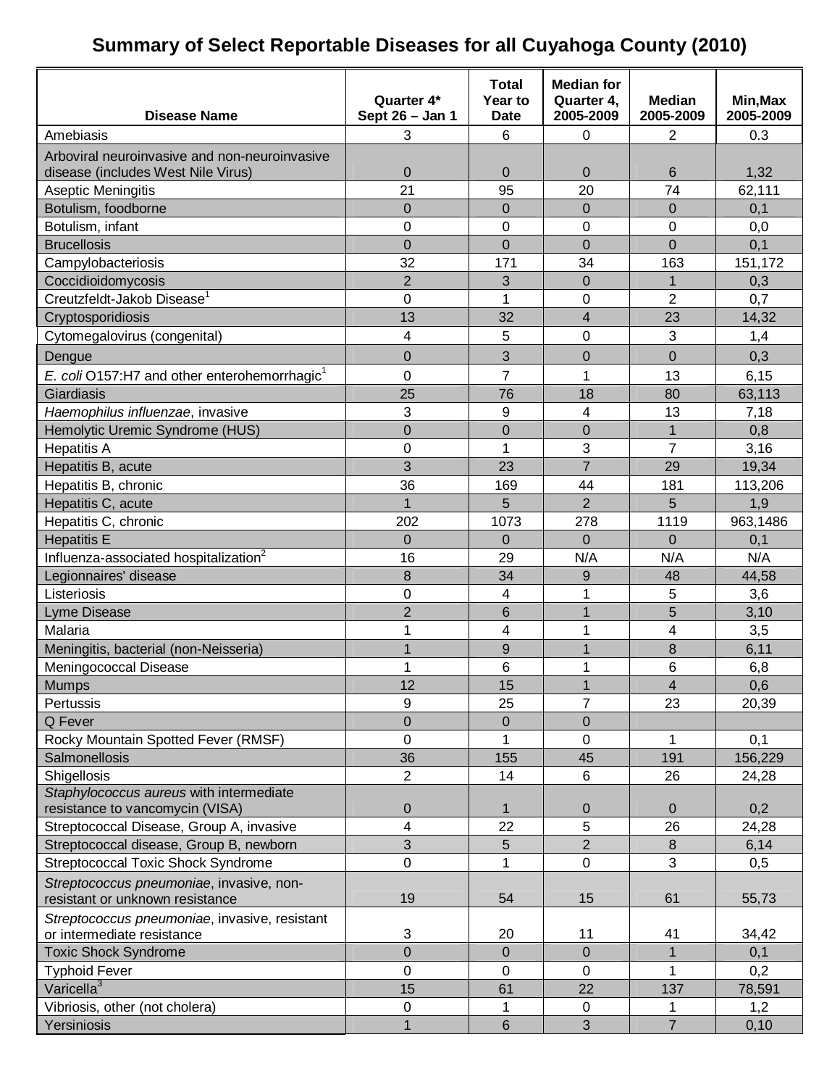### **Summary of Select Reportable Diseases for all Cuyahoga County (2010)**

|                                                          |                               | <b>Total</b>           | <b>Median for</b>       |                            |                       |
|----------------------------------------------------------|-------------------------------|------------------------|-------------------------|----------------------------|-----------------------|
| <b>Disease Name</b>                                      | Quarter 4*<br>Sept 26 - Jan 1 | Year to<br><b>Date</b> | Quarter 4,<br>2005-2009 | <b>Median</b><br>2005-2009 | Min, Max<br>2005-2009 |
| Amebiasis                                                | 3                             | 6                      | $\mathbf 0$             | 2                          | 0.3                   |
| Arboviral neuroinvasive and non-neuroinvasive            |                               |                        |                         |                            |                       |
| disease (includes West Nile Virus)                       | 0                             | $\pmb{0}$              | $\mathbf 0$             | 6                          | 1,32                  |
| Aseptic Meningitis                                       | 21                            | 95                     | 20                      | 74                         | 62,111                |
| Botulism, foodborne                                      | 0                             | $\overline{0}$         | $\overline{0}$          | 0                          | 0,1                   |
| Botulism, infant                                         | 0                             | $\mathbf 0$            | 0                       | $\mathbf 0$                | 0,0                   |
| <b>Brucellosis</b>                                       | 0                             | $\overline{0}$         | $\overline{0}$          | 0                          | 0,1                   |
| Campylobacteriosis                                       | 32                            | 171                    | 34                      | 163                        | 151,172               |
| Coccidioidomycosis                                       | $\overline{2}$                | 3                      | $\overline{0}$          | 1                          | 0,3                   |
| Creutzfeldt-Jakob Disease <sup>1</sup>                   | 0                             | 1                      | 0                       | 2                          | 0,7                   |
| Cryptosporidiosis                                        | 13                            | 32                     | $\overline{\mathbf{4}}$ | 23                         | 14,32                 |
| Cytomegalovirus (congenital)                             | 4                             | 5                      | 0                       | 3                          | 1,4                   |
| Dengue                                                   | 0                             | 3                      | $\overline{0}$          | $\overline{0}$             | 0,3                   |
| E. coli O157:H7 and other enterohemorrhagic <sup>1</sup> | 0                             | $\overline{7}$         | 1                       | 13                         | 6, 15                 |
| Giardiasis                                               | 25                            | 76                     | 18                      | 80                         | 63,113                |
| Haemophilus influenzae, invasive                         | 3                             | 9                      | 4                       | 13                         | 7,18                  |
| Hemolytic Uremic Syndrome (HUS)                          | $\overline{0}$                | $\overline{0}$         | $\overline{0}$          | 1                          | 0,8                   |
| <b>Hepatitis A</b>                                       | 0                             | 1                      | 3                       | 7                          | 3,16                  |
| Hepatitis B, acute                                       | 3                             | 23                     | $\overline{7}$          | 29                         | 19,34                 |
| Hepatitis B, chronic                                     | 36                            | 169                    | 44                      | 181                        | 113,206               |
| Hepatitis C, acute                                       | $\mathbf{1}$                  | 5                      | $\overline{2}$          | 5                          | 1,9                   |
| Hepatitis C, chronic                                     | 202                           | 1073                   | 278                     | 1119                       | 963,1486              |
| <b>Hepatitis E</b>                                       | 0                             | $\overline{0}$         | $\Omega$                | $\Omega$                   | 0,1                   |
| Influenza-associated hospitalization <sup>2</sup>        | 16                            | 29                     | N/A                     | N/A                        | N/A                   |
| Legionnaires' disease                                    | 8                             | 34                     | 9                       | 48                         | 44,58                 |
| Listeriosis                                              | 0                             | 4                      | 1                       | 5                          | 3,6                   |
| Lyme Disease                                             | $\overline{2}$                | 6                      | $\overline{1}$          | 5                          | 3,10                  |
| Malaria                                                  | 1                             | 4                      | 1                       | 4                          | 3,5                   |
| Meningitis, bacterial (non-Neisseria)                    | $\overline{1}$                | 9                      | 1                       | 8                          | 6,11                  |
| Meningococcal Disease                                    | 1                             | 6                      | 1                       | 6                          | 6,8                   |
| <b>Mumps</b>                                             | 12                            | 15                     | 1                       | 4                          | 0,6                   |
| Pertussis                                                | 9                             | 25                     | $\overline{7}$          | 23                         | 20,39                 |
| Q Fever                                                  | $\overline{0}$                | $\boldsymbol{0}$       | $\mathbf 0$             |                            |                       |
| Rocky Mountain Spotted Fever (RMSF)                      | 0                             | 1                      | 0                       | 1                          | 0,1                   |
| Salmonellosis                                            | 36                            | 155                    | 45                      | 191                        | 156,229               |
| Shigellosis                                              | $\overline{2}$                | 14                     | $6\phantom{1}$          | 26                         | 24,28                 |
| Staphylococcus aureus with intermediate                  |                               |                        |                         |                            |                       |
| resistance to vancomycin (VISA)                          | 0                             | $\mathbf{1}$           | $\mathbf 0$             | $\Omega$                   | 0,2                   |
| Streptococcal Disease, Group A, invasive                 | 4                             | 22                     | 5                       | 26                         | 24,28                 |
| Streptococcal disease, Group B, newborn                  | 3                             | 5                      | $\overline{2}$          | 8                          | 6,14                  |
| <b>Streptococcal Toxic Shock Syndrome</b>                | 0                             |                        | $\mathbf 0$             | 3                          | 0,5                   |
| Streptococcus pneumoniae, invasive, non-                 |                               |                        |                         |                            |                       |
| resistant or unknown resistance                          | 19                            | 54                     | 15                      | 61                         | 55,73                 |
| Streptococcus pneumoniae, invasive, resistant            |                               |                        |                         |                            |                       |
| or intermediate resistance                               | 3                             | 20                     | 11                      | 41                         | 34,42                 |
| <b>Toxic Shock Syndrome</b>                              | $\overline{0}$                | $\pmb{0}$              | $\mathbf 0$             | 1                          | 0,1                   |
| <b>Typhoid Fever</b>                                     | 0                             | $\mathbf 0$            | $\mathbf 0$             | 1                          | 0,2                   |
| Varicella <sup>3</sup>                                   | 15                            | 61                     | 22                      | 137                        | 78,591                |
| Vibriosis, other (not cholera)                           | 0                             |                        | 0                       |                            | 1,2                   |
| Yersiniosis                                              | $\mathbf{1}$                  | 6                      | 3                       | $\overline{7}$             | 0, 10                 |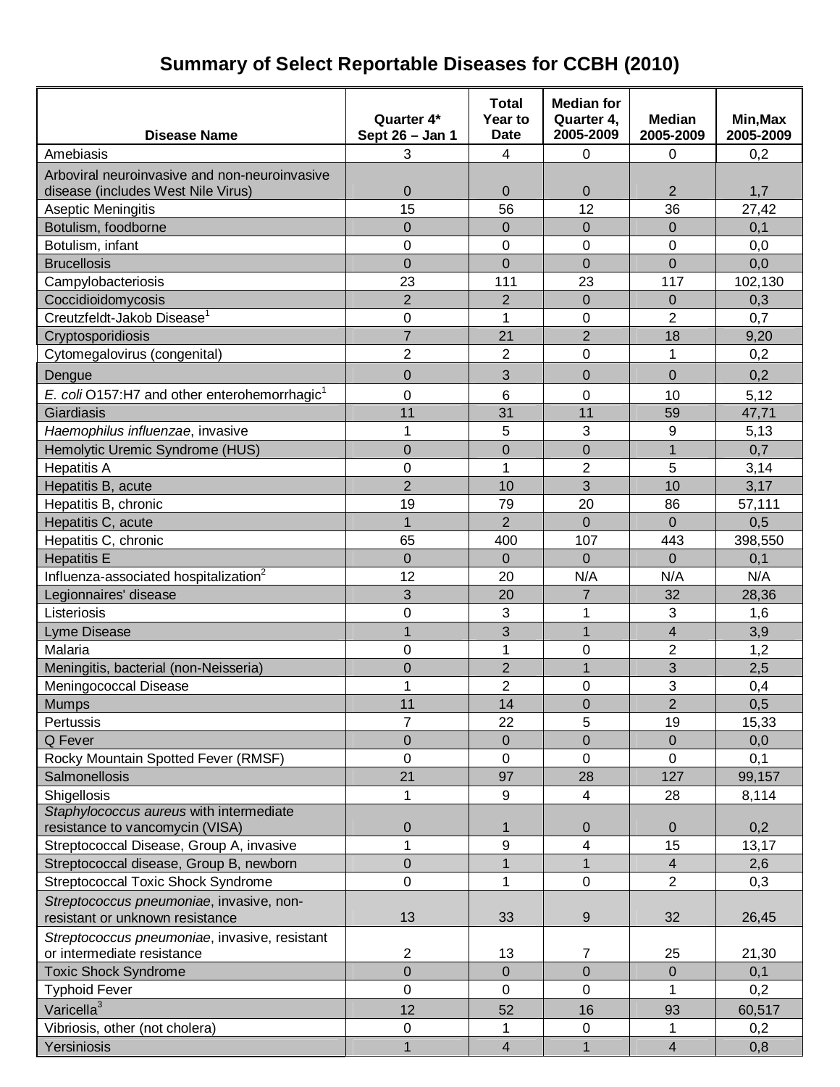# **Summary of Select Reportable Diseases for CCBH (2010)**

| <b>Disease Name</b>                                                                 | Quarter 4*<br>Sept 26 - Jan 1 | <b>Total</b><br>Year to<br><b>Date</b> | <b>Median for</b><br>Quarter 4,<br>2005-2009 | <b>Median</b><br>2005-2009 | Min, Max<br>2005-2009 |
|-------------------------------------------------------------------------------------|-------------------------------|----------------------------------------|----------------------------------------------|----------------------------|-----------------------|
| Amebiasis                                                                           | 3                             | 4                                      | 0                                            | 0                          | 0,2                   |
|                                                                                     |                               |                                        |                                              |                            |                       |
| Arboviral neuroinvasive and non-neuroinvasive<br>disease (includes West Nile Virus) | $\overline{0}$                | $\Omega$                               | $\Omega$                                     | $\overline{2}$             | 1,7                   |
| Aseptic Meningitis                                                                  | 15                            | 56                                     | 12                                           | 36                         | 27,42                 |
| Botulism, foodborne                                                                 | $\overline{0}$                | 0                                      | $\mathbf 0$                                  | $\mathbf 0$                | 0,1                   |
| Botulism, infant                                                                    | $\mathbf 0$                   | 0                                      | 0                                            | 0                          | 0,0                   |
| <b>Brucellosis</b>                                                                  | $\overline{0}$                | 0                                      | $\overline{0}$                               | $\overline{0}$             | 0,0                   |
| Campylobacteriosis                                                                  | 23                            | 111                                    | 23                                           | 117                        | 102,130               |
| Coccidioidomycosis                                                                  | $\overline{2}$                | $\overline{2}$                         | $\mathbf 0$                                  | $\mathbf 0$                | 0,3                   |
| Creutzfeldt-Jakob Disease <sup>1</sup>                                              | $\mathbf 0$                   | 1                                      | 0                                            | $\overline{2}$             | 0,7                   |
| Cryptosporidiosis                                                                   | $\overline{7}$                | 21                                     | $\overline{2}$                               | 18                         | 9,20                  |
| Cytomegalovirus (congenital)                                                        | $\overline{2}$                | $\overline{2}$                         | 0                                            | 1                          | 0,2                   |
|                                                                                     |                               |                                        |                                              |                            |                       |
| Dengue                                                                              | $\overline{0}$                | 3                                      | 0                                            | $\mathbf 0$                | 0,2                   |
| E. coli O157:H7 and other enterohemorrhagic <sup>1</sup>                            | $\mathbf 0$                   | 6                                      | 0                                            | 10                         | 5,12                  |
| Giardiasis                                                                          | 11                            | 31                                     | 11                                           | 59                         | 47,71                 |
| Haemophilus influenzae, invasive                                                    | 1                             | 5                                      | 3                                            | 9                          | 5,13                  |
| Hemolytic Uremic Syndrome (HUS)                                                     | $\overline{0}$                | 0                                      | $\overline{0}$                               | $\overline{1}$             | 0,7                   |
| <b>Hepatitis A</b>                                                                  | $\mathbf 0$                   | 1                                      | $\overline{2}$                               | 5                          | 3,14                  |
| Hepatitis B, acute                                                                  | $\overline{2}$                | 10                                     | 3                                            | 10                         | 3,17                  |
| Hepatitis B, chronic                                                                | 19                            | 79                                     | 20                                           | 86                         | 57,111                |
| Hepatitis C, acute                                                                  | $\mathbf{1}$                  | $\overline{2}$                         | $\overline{0}$                               | $\Omega$                   | 0,5                   |
| Hepatitis C, chronic                                                                | 65                            | 400                                    | 107                                          | 443                        | 398,550               |
| <b>Hepatitis E</b>                                                                  | $\mathbf 0$                   | $\overline{0}$                         | $\overline{0}$                               | $\Omega$                   | 0,1                   |
| Influenza-associated hospitalization <sup>2</sup>                                   | 12                            | 20                                     | N/A                                          | N/A                        | N/A                   |
| Legionnaires' disease                                                               | 3                             | 20                                     | $\overline{7}$                               | 32                         | 28,36                 |
| Listeriosis                                                                         | $\overline{0}$                | 3                                      | 1                                            | 3                          | 1,6                   |
| <b>Lyme Disease</b>                                                                 | 1                             | 3                                      | 1                                            | $\overline{\mathbf{4}}$    | 3,9                   |
| Malaria                                                                             | $\overline{0}$                | 1                                      | 0                                            | $\overline{2}$             | 1,2                   |
| Meningitis, bacterial (non-Neisseria)                                               | $\overline{0}$                | $\overline{2}$                         | $\overline{1}$                               | 3                          | 2,5                   |
| Meningococcal Disease                                                               | 1                             | 2                                      | 0                                            | 3                          | 0,4                   |
| <b>Mumps</b>                                                                        | 11                            | 14                                     | $\overline{0}$                               | $\overline{2}$             | 0,5                   |
| Pertussis                                                                           | $\overline{7}$                | 22                                     | 5                                            | 19                         | 15,33                 |
| Q Fever                                                                             | $\pmb{0}$                     | 0                                      | $\overline{0}$                               | $\mathbf 0$                | 0,0                   |
| Rocky Mountain Spotted Fever (RMSF)                                                 | 0                             | 0                                      | 0                                            | 0                          | 0,1                   |
| Salmonellosis                                                                       | 21                            | 97                                     | 28                                           | 127                        | 99,157                |
| Shigellosis                                                                         | 1                             | 9                                      | 4                                            | 28                         | 8,114                 |
| Staphylococcus aureus with intermediate                                             |                               |                                        |                                              |                            |                       |
| resistance to vancomycin (VISA)                                                     | $\mathbf 0$                   | $\mathbf 1$                            | 0                                            | $\mathbf{0}$               | 0,2                   |
| Streptococcal Disease, Group A, invasive                                            | 1                             | 9                                      | 4                                            | 15                         | 13,17                 |
| Streptococcal disease, Group B, newborn                                             | $\mathsf 0$                   | $\mathbf{1}$                           | $\mathbf{1}$                                 | 4                          | 2,6                   |
| <b>Streptococcal Toxic Shock Syndrome</b>                                           | $\mathbf 0$                   | 1                                      | $\mathbf 0$                                  | $\overline{2}$             | 0,3                   |
| Streptococcus pneumoniae, invasive, non-<br>resistant or unknown resistance         | 13                            | 33                                     | 9                                            | 32                         | 26,45                 |
| Streptococcus pneumoniae, invasive, resistant                                       |                               |                                        |                                              |                            |                       |
| or intermediate resistance                                                          | $\overline{c}$                | 13                                     | 7                                            | 25                         | 21,30                 |
| <b>Toxic Shock Syndrome</b>                                                         | $\overline{0}$                | $\overline{0}$                         | $\overline{0}$                               | $\Omega$                   | 0,1                   |
| <b>Typhoid Fever</b>                                                                | 0                             | 0                                      | 0                                            | 1                          | 0,2                   |
| Varicella <sup>3</sup>                                                              | 12                            | 52                                     | 16                                           | 93                         | 60,517                |
| Vibriosis, other (not cholera)                                                      | 0                             | 1                                      | $\mathbf 0$                                  | 1                          | 0,2                   |
| Yersiniosis                                                                         | $\mathbf{1}$                  | $\overline{4}$                         | $\mathbf{1}$                                 | $\overline{4}$             | 0,8                   |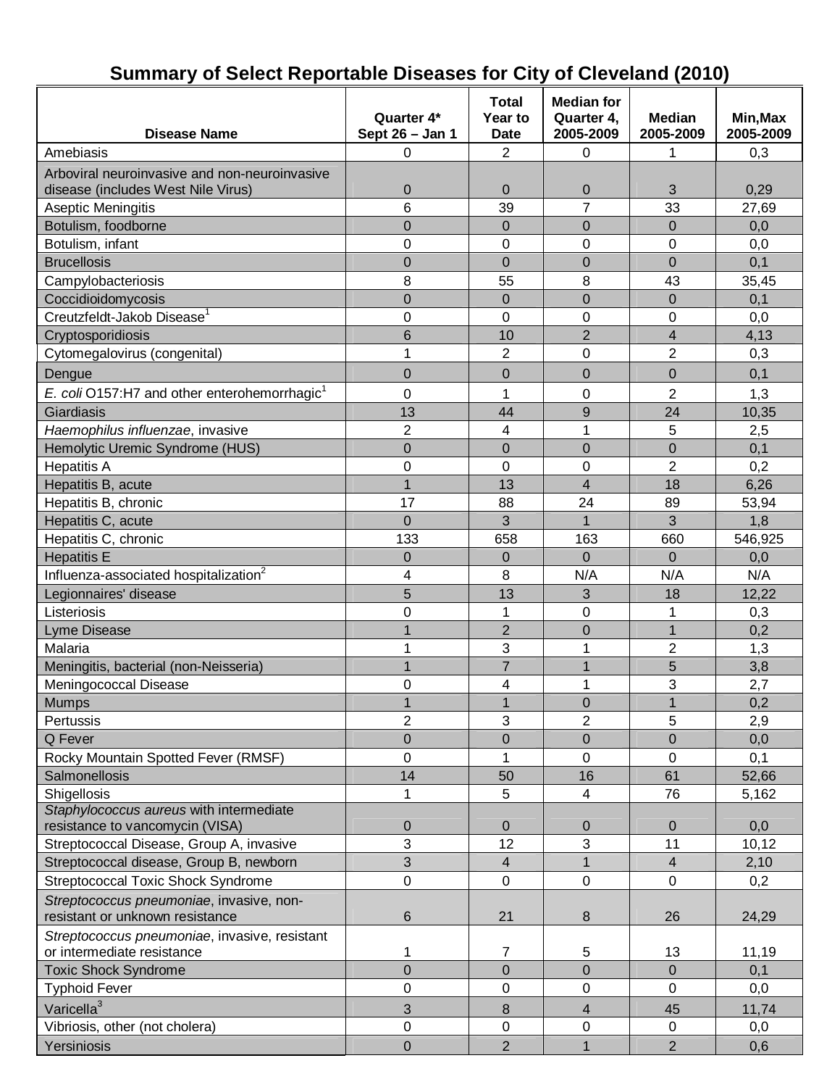| <b>Disease Name</b>                                      | Quarter 4*<br>Sept 26 - Jan 1 | <b>Total</b><br>Year to<br><b>Date</b> | <b>Median for</b><br>Quarter 4,<br>2005-2009 | <b>Median</b><br>2005-2009 | Min, Max<br>2005-2009 |
|----------------------------------------------------------|-------------------------------|----------------------------------------|----------------------------------------------|----------------------------|-----------------------|
| Amebiasis                                                | 0                             | $\overline{2}$                         | 0                                            | 1                          | 0,3                   |
| Arboviral neuroinvasive and non-neuroinvasive            |                               |                                        |                                              |                            |                       |
| disease (includes West Nile Virus)                       | $\mathbf 0$                   | $\mathbf 0$                            | 0                                            | 3                          | 0,29                  |
| Aseptic Meningitis                                       | 6                             | 39                                     | $\overline{7}$                               | 33                         | 27,69                 |
| Botulism, foodborne                                      | $\overline{0}$                | $\Omega$                               | 0                                            | $\Omega$                   | 0,0                   |
| Botulism, infant                                         | 0                             | $\mathbf 0$                            | 0                                            | 0                          | 0,0                   |
| <b>Brucellosis</b>                                       | $\overline{0}$                | $\overline{0}$                         | $\overline{0}$                               | $\overline{0}$             | 0,1                   |
| Campylobacteriosis                                       | 8                             | 55                                     | 8                                            | 43                         | 35,45                 |
| Coccidioidomycosis                                       | $\overline{0}$                | $\overline{0}$                         | $\overline{0}$                               | $\overline{0}$             | 0,1                   |
| Creutzfeldt-Jakob Disease <sup>1</sup>                   | 0                             | $\overline{0}$                         | 0                                            | $\mathbf 0$                | 0,0                   |
| Cryptosporidiosis                                        | 6                             | 10                                     | $\overline{2}$                               | 4                          | 4,13                  |
| Cytomegalovirus (congenital)                             | 1                             | $\overline{2}$                         | 0                                            | $\overline{2}$             | 0,3                   |
| Dengue                                                   | $\overline{0}$                | $\overline{0}$                         | 0                                            | $\overline{0}$             | 0,1                   |
| E. coli O157:H7 and other enterohemorrhagic <sup>1</sup> | 0                             | 1                                      | 0                                            | $\overline{2}$             | 1,3                   |
| Giardiasis                                               | 13                            | 44                                     | 9                                            | 24                         | 10,35                 |
| Haemophilus influenzae, invasive                         | $\overline{2}$                | 4                                      | 1                                            | 5                          | 2,5                   |
| Hemolytic Uremic Syndrome (HUS)                          | $\overline{0}$                | 0                                      | $\overline{0}$                               | $\overline{0}$             | 0,1                   |
| <b>Hepatitis A</b>                                       | 0                             | $\mathbf 0$                            | 0                                            | 2                          | 0,2                   |
| Hepatitis B, acute                                       | $\overline{1}$                | 13                                     | $\overline{\mathcal{L}}$                     | 18                         | 6,26                  |
| Hepatitis B, chronic                                     | 17                            | 88                                     | 24                                           | 89                         | 53,94                 |
| Hepatitis C, acute                                       | $\overline{0}$                | 3                                      | $\overline{1}$                               | 3                          | 1,8                   |
| Hepatitis C, chronic                                     | 133                           | 658                                    | 163                                          | 660                        | 546,925               |
| <b>Hepatitis E</b>                                       | $\mathbf 0$                   | $\mathbf 0$                            | $\Omega$                                     | 0                          | 0,0                   |
| Influenza-associated hospitalization <sup>2</sup>        | 4                             | 8                                      | N/A                                          | N/A                        | N/A                   |
| Legionnaires' disease                                    | 5                             | 13                                     | 3                                            | 18                         | 12,22                 |
| Listeriosis                                              | 0                             | 1                                      | 0                                            | 1                          | 0,3                   |
| Lyme Disease                                             | 1                             | $\overline{2}$                         | 0                                            | $\mathbf{1}$               | 0,2                   |
| Malaria                                                  | 1                             | 3                                      | 1                                            | $\overline{2}$             | 1,3                   |
| Meningitis, bacterial (non-Neisseria)                    | $\overline{1}$                | $\overline{7}$                         | 1                                            | 5                          | 3,8                   |
| Meningococcal Disease                                    | 0                             | 4                                      | 1                                            | 3                          | 2,7                   |
| <b>Mumps</b>                                             | 1                             |                                        | 0                                            |                            | 0,2                   |
| Pertussis                                                | $\overline{2}$                | 3                                      | $\overline{2}$                               | 5                          | 2,9                   |
| Q Fever                                                  | $\overline{0}$                | $\mathbf 0$                            | $\overline{0}$                               | $\overline{0}$             | 0,0                   |
| Rocky Mountain Spotted Fever (RMSF)                      | 0                             | 1                                      | 0                                            | 0                          | 0,1                   |
| <b>Salmonellosis</b>                                     | 14                            | 50                                     | 16                                           | 61                         | 52,66                 |
| Shigellosis                                              | 1                             | 5                                      | 4                                            | 76                         | 5,162                 |
| Staphylococcus aureus with intermediate                  |                               |                                        |                                              |                            |                       |
| resistance to vancomycin (VISA)                          | $\boldsymbol{0}$              | $\mathbf 0$                            | 0                                            | $\overline{0}$             | 0,0                   |
| Streptococcal Disease, Group A, invasive                 | 3                             | 12                                     | 3                                            | 11                         | 10, 12                |
| Streptococcal disease, Group B, newborn                  | 3                             | 4                                      | $\mathbf{1}$                                 | $\overline{4}$             | 2,10                  |
| <b>Streptococcal Toxic Shock Syndrome</b>                | 0                             | $\mathbf 0$                            | 0                                            | 0                          | 0,2                   |
| Streptococcus pneumoniae, invasive, non-                 |                               |                                        |                                              |                            |                       |
| resistant or unknown resistance                          | 6                             | 21                                     | 8                                            | 26                         | 24,29                 |
| Streptococcus pneumoniae, invasive, resistant            |                               |                                        |                                              |                            |                       |
| or intermediate resistance                               | 1                             | 7                                      | 5                                            | 13                         | 11,19                 |
| <b>Toxic Shock Syndrome</b>                              | $\overline{0}$                | $\mathbf 0$                            | $\overline{0}$                               | $\mathbf 0$                | 0,1                   |
| <b>Typhoid Fever</b>                                     | 0                             | $\mathbf 0$                            | 0                                            | $\mathbf 0$                | 0,0                   |
| Varicella <sup>3</sup>                                   | 3                             | $\bf 8$                                | 4                                            | 45                         | 11,74                 |
| Vibriosis, other (not cholera)                           | $\pmb{0}$                     | $\mathbf 0$                            | 0                                            | 0                          | 0,0                   |
| Yersiniosis                                              | 0                             | $\overline{2}$                         | $\mathbf{1}$                                 | $\overline{2}$             | 0,6                   |

## **Summary of Select Reportable Diseases for City of Cleveland (2010)**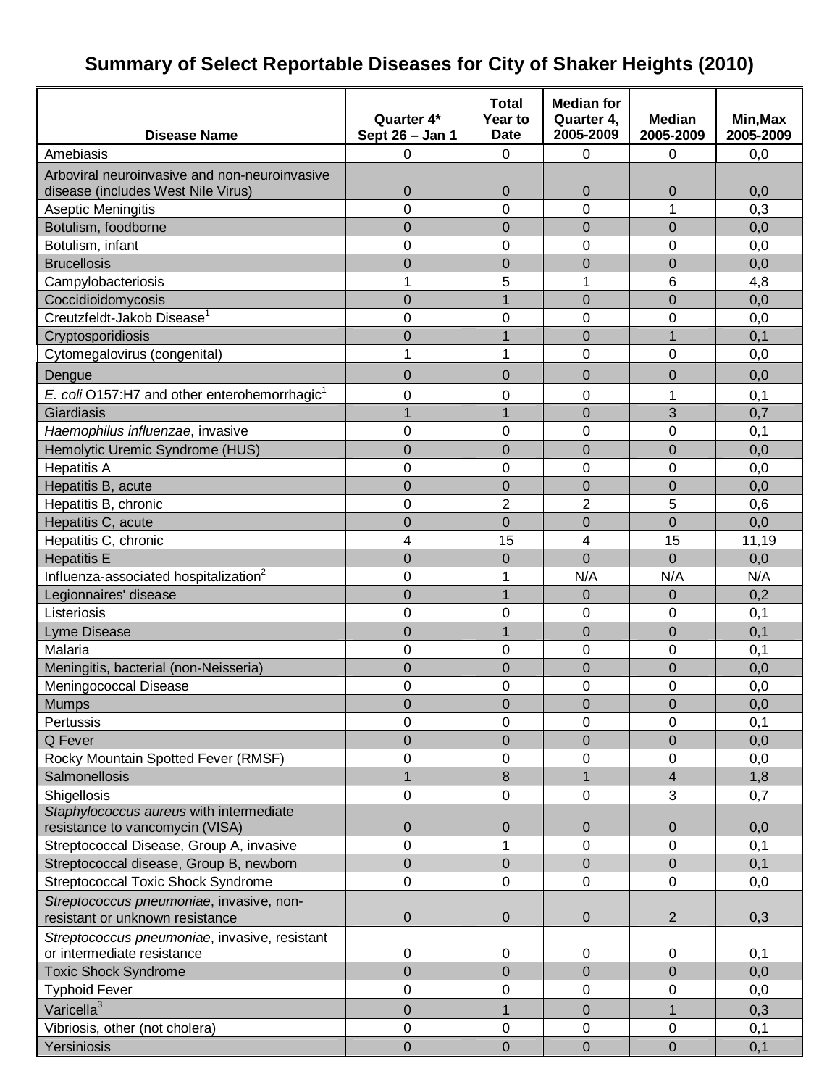## **Summary of Select Reportable Diseases for City of Shaker Heights (2010)**

|                                                                             |                 | <b>Total</b>           | <b>Median for</b>       |                            |                       |
|-----------------------------------------------------------------------------|-----------------|------------------------|-------------------------|----------------------------|-----------------------|
| <b>Disease Name</b>                                                         | Quarter 4*      | Year to<br><b>Date</b> | Quarter 4,<br>2005-2009 | <b>Median</b><br>2005-2009 | Min, Max<br>2005-2009 |
|                                                                             | Sept 26 - Jan 1 |                        |                         |                            |                       |
| Amebiasis                                                                   | 0               | 0                      | 0                       | 0                          | 0,0                   |
| Arboviral neuroinvasive and non-neuroinvasive                               |                 |                        |                         |                            |                       |
| disease (includes West Nile Virus)                                          | 0<br>0          | 0<br>0                 | $\mathbf 0$<br>0        | 0<br>1                     | 0,0<br>0,3            |
| Aseptic Meningitis<br>Botulism, foodborne                                   | $\overline{0}$  | 0                      | $\overline{0}$          | $\mathbf 0$                | 0,0                   |
| Botulism, infant                                                            | 0               | 0                      | 0                       | $\Omega$                   | 0,0                   |
| <b>Brucellosis</b>                                                          | 0               | 0                      | $\mathbf 0$             | $\mathbf 0$                |                       |
| Campylobacteriosis                                                          | 1               | 5                      | 1                       | 6                          | 0,0<br>4,8            |
| Coccidioidomycosis                                                          | $\mathbf 0$     | $\mathbf{1}$           | $\overline{0}$          | $\mathbf 0$                | 0,0                   |
| Creutzfeldt-Jakob Disease <sup>1</sup>                                      | 0               | 0                      | 0                       | 0                          | 0,0                   |
| Cryptosporidiosis                                                           | $\mathbf 0$     | $\overline{1}$         | $\overline{0}$          | 1                          | 0,1                   |
| Cytomegalovirus (congenital)                                                | 1               | 1                      | 0                       | $\mathbf 0$                | 0,0                   |
|                                                                             |                 |                        |                         |                            |                       |
| Dengue                                                                      | 0               | 0                      | $\mathbf 0$             | 0                          | 0,0                   |
| E. coli O157:H7 and other enterohemorrhagic <sup>1</sup>                    | 0               | 0                      | 0                       | 1                          | 0,1                   |
| Giardiasis                                                                  | 1               | $\overline{1}$         | $\overline{0}$          | 3                          | 0,7                   |
| Haemophilus influenzae, invasive                                            | 0               | 0                      | 0                       | 0                          | 0,1                   |
| Hemolytic Uremic Syndrome (HUS)                                             | $\overline{0}$  | $\mathbf 0$            | $\overline{0}$          | $\mathbf 0$                | 0,0                   |
| <b>Hepatitis A</b>                                                          | 0               | 0                      | 0                       | $\mathbf 0$                | 0,0                   |
| Hepatitis B, acute                                                          | $\overline{0}$  | $\overline{0}$         | $\overline{0}$          | $\mathbf 0$                | 0,0                   |
| Hepatitis B, chronic                                                        | $\overline{0}$  | $\overline{2}$         | $\overline{2}$          | 5                          | 0,6                   |
| Hepatitis C, acute                                                          | $\overline{0}$  | $\overline{0}$         | $\overline{0}$          | 0                          | 0,0                   |
| Hepatitis C, chronic                                                        | 4               | 15                     | 4                       | 15                         | 11,19                 |
| <b>Hepatitis E</b>                                                          | $\overline{0}$  | $\mathbf 0$            | $\overline{0}$          | $\Omega$                   | 0,0                   |
| Influenza-associated hospitalization <sup>2</sup>                           | 0               | 1                      | N/A                     | N/A                        | N/A                   |
| Legionnaires' disease                                                       | $\overline{0}$  | $\overline{1}$         | $\overline{0}$          | $\overline{0}$             | 0,2                   |
| Listeriosis                                                                 | 0               | 0                      | 0                       | 0                          | 0,1                   |
| <b>Lyme Disease</b>                                                         | $\overline{0}$  | 1                      | $\overline{0}$          | $\overline{0}$             | 0,1                   |
| Malaria                                                                     | 0               | 0                      | 0                       | 0                          | 0,1                   |
| Meningitis, bacterial (non-Neisseria)                                       | $\overline{0}$  | 0                      | $\overline{0}$          | 0                          | 0,0                   |
| Meningococcal Disease                                                       | 0               | 0                      | 0                       | 0                          | 0,0                   |
| <b>Mumps</b>                                                                | $\overline{0}$  | $\overline{0}$         | $\overline{0}$          | $\overline{0}$             | $\overline{0,0}$      |
| Pertussis                                                                   | 0               | 0                      | 0                       | 0                          | 0,1                   |
| Q Fever                                                                     | 0               | 0                      | $\mathbf 0$             | $\boldsymbol{0}$           | 0,0                   |
| Rocky Mountain Spotted Fever (RMSF)                                         | 0               | 0                      | 0                       | 0                          | 0,0                   |
| Salmonellosis                                                               | 1               | 8                      | $\overline{1}$          | $\overline{4}$             | 1,8                   |
| Shigellosis                                                                 | 0               | 0                      | 0                       | 3                          | 0,7                   |
| Staphylococcus aureus with intermediate<br>resistance to vancomycin (VISA)  | $\mathbf 0$     | $\mathbf 0$            | $\mathbf 0$             | $\boldsymbol{0}$           | 0,0                   |
| Streptococcal Disease, Group A, invasive                                    | 0               | 1                      | 0                       | 0                          | 0,1                   |
| Streptococcal disease, Group B, newborn                                     | 0               | 0                      | $\mathbf 0$             | $\boldsymbol{0}$           | 0,1                   |
| <b>Streptococcal Toxic Shock Syndrome</b>                                   | 0               | 0                      | 0                       | 0                          | 0,0                   |
|                                                                             |                 |                        |                         |                            |                       |
| Streptococcus pneumoniae, invasive, non-<br>resistant or unknown resistance | $\pmb{0}$       | 0                      | 0                       | $\overline{2}$             | 0,3                   |
| Streptococcus pneumoniae, invasive, resistant                               |                 |                        |                         |                            |                       |
| or intermediate resistance                                                  | $\pmb{0}$       | 0                      | 0                       | $\mathbf 0$                | 0,1                   |
| <b>Toxic Shock Syndrome</b>                                                 | $\overline{0}$  | $\overline{0}$         | $\mathbf 0$             | $\mathbf 0$                | 0,0                   |
| <b>Typhoid Fever</b>                                                        | 0               | 0                      | 0                       | 0                          | 0,0                   |
| Varicella <sup>3</sup>                                                      | $\overline{0}$  | 1                      | $\boldsymbol{0}$        | 1                          | 0,3                   |
| Vibriosis, other (not cholera)                                              | $\pmb{0}$       | 0                      | $\boldsymbol{0}$        | $\boldsymbol{0}$           | 0,1                   |
| Yersiniosis                                                                 | $\mathbf 0$     | $\mathbf 0$            | $\overline{0}$          | $\boldsymbol{0}$           | 0,1                   |